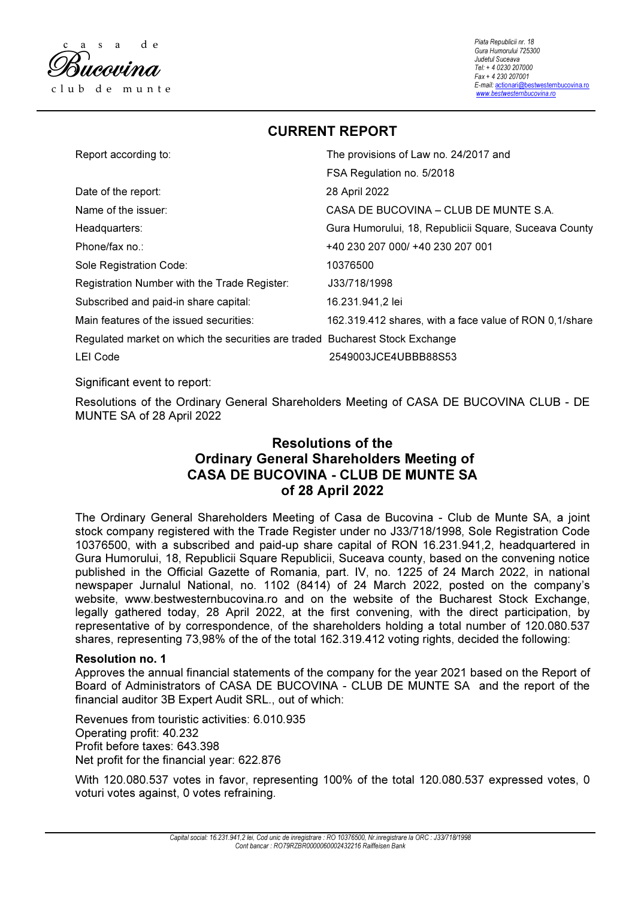

Piata Republicii nr. 18 Gura Humorului 725300 Judetul Suceava Tel: + 4 0230 207000 Fax + 4 230 207001 E-mail: actionari@bestwesternbucovina.ro www.bestwesternbucovina.ro

CURRENT REPORT

| Report according to:                                                         | The provisions of Law no. 24/2017 and                  |
|------------------------------------------------------------------------------|--------------------------------------------------------|
|                                                                              | FSA Regulation no. 5/2018                              |
| Date of the report:                                                          | 28 April 2022                                          |
| Name of the issuer:                                                          | CASA DE BUCOVINA – CLUB DE MUNTE S.A.                  |
| Headquarters:                                                                | Gura Humorului, 18, Republicii Square, Suceava County  |
| Phone/fax no.:                                                               | +40 230 207 000/ +40 230 207 001                       |
| Sole Registration Code:                                                      | 10376500                                               |
| Registration Number with the Trade Register:                                 | J33/718/1998                                           |
| Subscribed and paid-in share capital:                                        | 16.231.941,2 lei                                       |
| Main features of the issued securities:                                      | 162.319.412 shares, with a face value of RON 0,1/share |
| Regulated market on which the securities are traded Bucharest Stock Exchange |                                                        |
| <b>LEI Code</b>                                                              | 2549003JCE4UBBB88S53                                   |

Significant event to report:

Resolutions of the Ordinary General Shareholders Meeting of CASA DE BUCOVINA CLUB - DE MUNTE SA of 28 April 2022

# Resolutions of the Ordinary General Shareholders Meeting of CASA DE BUCOVINA - CLUB DE MUNTE SA of 28 April 2022

The Ordinary General Shareholders Meeting of Casa de Bucovina - Club de Munte SA, a joint stock company registered with the Trade Register under no J33/718/1998, Sole Registration Code 10376500, with a subscribed and paid-up share capital of RON 16.231.941,2, headquartered in Gura Humorului, 18, Republicii Square Republicii, Suceava county, based on the convening notice published in the Official Gazette of Romania, part. IV, no. 1225 of 24 March 2022, in national newspaper Jurnalul National, no. 1102 (8414) of 24 March 2022, posted on the company's website, www.bestwesternbucovina.ro and on the website of the Bucharest Stock Exchange, legally gathered today, 28 April 2022, at the first convening, with the direct participation, by representative of by correspondence, of the shareholders holding a total number of 120.080.537 shares, representing 73,98% of the of the total 162.319.412 voting rights, decided the following:

# Resolution no. 1

Approves the annual financial statements of the company for the year 2021 based on the Report of Board of Administrators of CASA DE BUCOVINA - CLUB DE MUNTE SA and the report of the financial auditor 3B Expert Audit SRL., out of which:

Revenues from touristic activities: 6.010.935 Operating profit: 40.232 Profit before taxes: 643.398 Net profit for the financial year: 622.876

With 120.080.537 votes in favor, representing 100% of the total 120.080.537 expressed votes, 0 voturi votes against, 0 votes refraining.